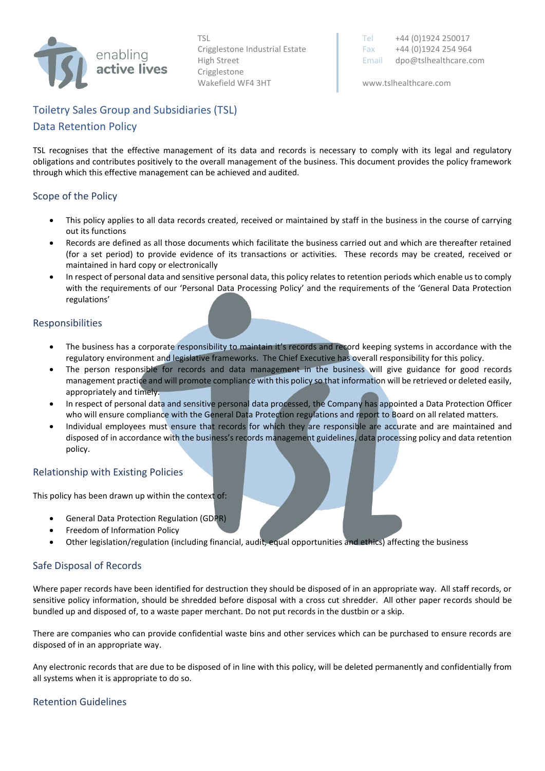

Crigglestone Wakefield WF4 3HT www.tslhealthcare.com

TSL Tel +44 (0)1924 250017 Crigglestone Industrial Estate Fax  $+44 (0)1924 254 964$ High Street **Email dpo@tslhealthcare.com** 

# Toiletry Sales Group and Subsidiaries (TSL) Data Retention Policy

TSL recognises that the effective management of its data and records is necessary to comply with its legal and regulatory obligations and contributes positively to the overall management of the business. This document provides the policy framework through which this effective management can be achieved and audited.

# Scope of the Policy

- This policy applies to all data records created, received or maintained by staff in the business in the course of carrying out its functions
- Records are defined as all those documents which facilitate the business carried out and which are thereafter retained (for a set period) to provide evidence of its transactions or activities. These records may be created, received or maintained in hard copy or electronically
- In respect of personal data and sensitive personal data, this policy relates to retention periods which enable us to comply with the requirements of our 'Personal Data Processing Policy' and the requirements of the 'General Data Protection regulations'

#### Responsibilities

- The business has a corporate responsibility to maintain it's records and record keeping systems in accordance with the regulatory environment and legislative frameworks. The Chief Executive has overall responsibility for this policy.
- The person responsible for records and data management in the business will give guidance for good records management practice and will promote compliance with this policy so that information will be retrieved or deleted easily, appropriately and timely.
- In respect of personal data and sensitive personal data processed, the Company has appointed a Data Protection Officer who will ensure compliance with the General Data Protection regulations and report to Board on all related matters.
- Individual employees must ensure that records for which they are responsible are accurate and are maintained and disposed of in accordance with the business's records management guidelines, data processing policy and data retention policy.

# Relationship with Existing Policies

This policy has been drawn up within the context of:

- General Data Protection Regulation (GDPR)
- Freedom of Information Policy
- Other legislation/regulation (including financial, audit, equal opportunities and ethics) affecting the business

#### Safe Disposal of Records

Where paper records have been identified for destruction they should be disposed of in an appropriate way. All staff records, or sensitive policy information, should be shredded before disposal with a cross cut shredder. All other paper records should be bundled up and disposed of, to a waste paper merchant. Do not put records in the dustbin or a skip.

There are companies who can provide confidential waste bins and other services which can be purchased to ensure records are disposed of in an appropriate way.

Any electronic records that are due to be disposed of in line with this policy, will be deleted permanently and confidentially from all systems when it is appropriate to do so.

#### Retention Guidelines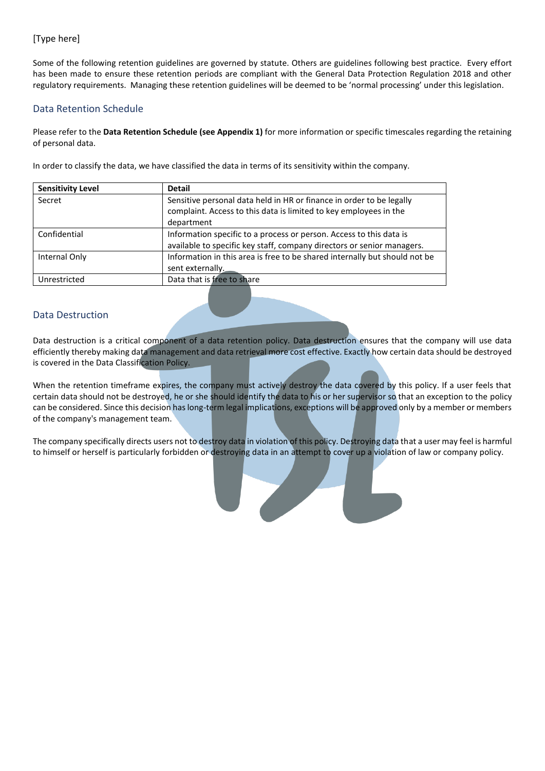# [Type here]

Some of the following retention guidelines are governed by statute. Others are guidelines following best practice. Every effort has been made to ensure these retention periods are compliant with the General Data Protection Regulation 2018 and other regulatory requirements. Managing these retention guidelines will be deemed to be 'normal processing' under this legislation.

#### Data Retention Schedule

Please refer to the **Data Retention Schedule (see Appendix 1)** for more information or specific timescales regarding the retaining of personal data.

In order to classify the data, we have classified the data in terms of its sensitivity within the company.

| <b>Sensitivity Level</b> | <b>Detail</b>                                                                                                                                           |
|--------------------------|---------------------------------------------------------------------------------------------------------------------------------------------------------|
| Secret                   | Sensitive personal data held in HR or finance in order to be legally<br>complaint. Access to this data is limited to key employees in the<br>department |
| Confidential             | Information specific to a process or person. Access to this data is<br>available to specific key staff, company directors or senior managers.           |
| Internal Only            | Information in this area is free to be shared internally but should not be<br>sent externally.                                                          |
| Unrestricted             | Data that is free to share                                                                                                                              |

# Data Destruction

Data destruction is a critical component of a data retention policy. Data destruction ensures that the company will use data efficiently thereby making data management and data retrieval more cost effective. Exactly how certain data should be destroyed is covered in the Data Classification Policy.

When the retention timeframe expires, the company must actively destroy the data covered by this policy. If a user feels that certain data should not be destroyed, he or she should identify the data to his or her supervisor so that an exception to the policy can be considered. Since this decision has long-term legal implications, exceptions will be approved only by a member or members of the company's management team.

The company specifically directs users not to destroy data in violation of this policy. Destroying data that a user may feel is harmful to himself or herself is particularly forbidden or destroying data in an attempt to cover up a violation of law or company policy.

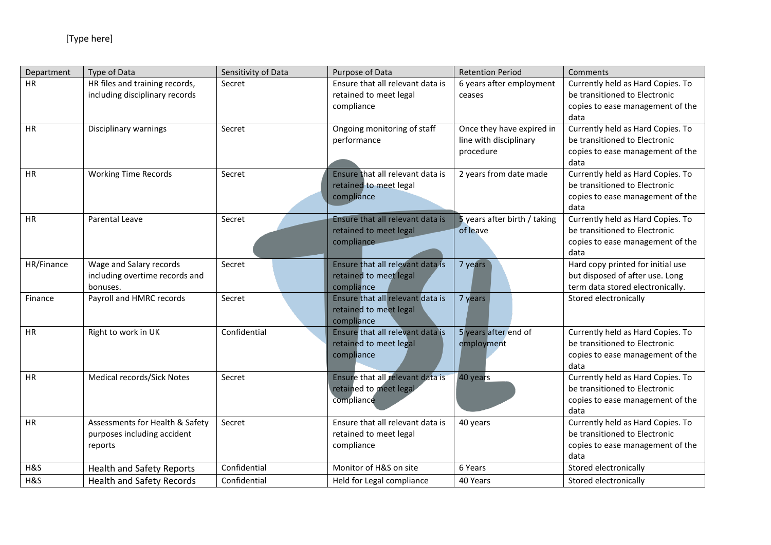| Department | Type of Data                                                              | Sensitivity of Data | Purpose of Data                                                          | <b>Retention Period</b>                                          | Comments                                                                                                       |
|------------|---------------------------------------------------------------------------|---------------------|--------------------------------------------------------------------------|------------------------------------------------------------------|----------------------------------------------------------------------------------------------------------------|
| <b>HR</b>  | HR files and training records,<br>including disciplinary records          | Secret              | Ensure that all relevant data is<br>retained to meet legal<br>compliance | 6 years after employment<br>ceases                               | Currently held as Hard Copies. To<br>be transitioned to Electronic<br>copies to ease management of the<br>data |
| HR         | Disciplinary warnings                                                     | Secret              | Ongoing monitoring of staff<br>performance                               | Once they have expired in<br>line with disciplinary<br>procedure | Currently held as Hard Copies. To<br>be transitioned to Electronic<br>copies to ease management of the<br>data |
| <b>HR</b>  | <b>Working Time Records</b>                                               | Secret              | Ensure that all relevant data is<br>retained to meet legal<br>compliance | 2 years from date made                                           | Currently held as Hard Copies. To<br>be transitioned to Electronic<br>copies to ease management of the<br>data |
| <b>HR</b>  | Parental Leave                                                            | Secret              | Ensure that all relevant data is<br>retained to meet legal<br>compliance | 5 years after birth / taking<br>of leave                         | Currently held as Hard Copies. To<br>be transitioned to Electronic<br>copies to ease management of the<br>data |
| HR/Finance | Wage and Salary records<br>including overtime records and<br>bonuses.     | Secret              | Ensure that all relevant data is<br>retained to meet legal<br>compliance | 7 years                                                          | Hard copy printed for initial use<br>but disposed of after use. Long<br>term data stored electronically.       |
| Finance    | Payroll and HMRC records                                                  | Secret              | Ensure that all relevant data is<br>retained to meet legal<br>compliance | 7 years                                                          | Stored electronically                                                                                          |
| <b>HR</b>  | Right to work in UK                                                       | Confidential        | Ensure that all relevant data is<br>retained to meet legal<br>compliance | 5 years after end of<br>employment                               | Currently held as Hard Copies. To<br>be transitioned to Electronic<br>copies to ease management of the<br>data |
| <b>HR</b>  | Medical records/Sick Notes                                                | Secret              | Ensure that all relevant data is<br>retained to meet legal<br>compliance | 40 years                                                         | Currently held as Hard Copies. To<br>be transitioned to Electronic<br>copies to ease management of the<br>data |
| <b>HR</b>  | Assessments for Health & Safety<br>purposes including accident<br>reports | Secret              | Ensure that all relevant data is<br>retained to meet legal<br>compliance | 40 years                                                         | Currently held as Hard Copies. To<br>be transitioned to Electronic<br>copies to ease management of the<br>data |
| H&S        | <b>Health and Safety Reports</b>                                          | Confidential        | Monitor of H&S on site                                                   | 6 Years                                                          | Stored electronically                                                                                          |
| H&S        | <b>Health and Safety Records</b>                                          | Confidential        | Held for Legal compliance                                                | 40 Years                                                         | Stored electronically                                                                                          |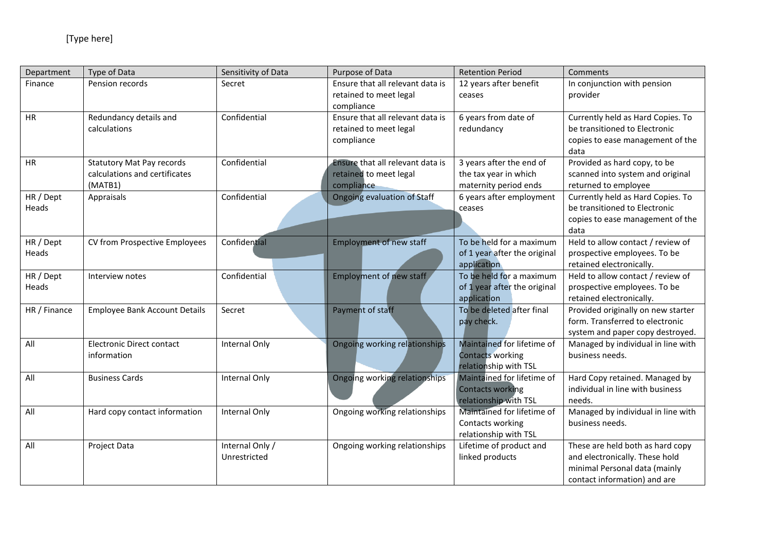| Department         | Type of Data                                                                 | Sensitivity of Data             | Purpose of Data                                                          | <b>Retention Period</b>                                                        | Comments                                                                                                                            |
|--------------------|------------------------------------------------------------------------------|---------------------------------|--------------------------------------------------------------------------|--------------------------------------------------------------------------------|-------------------------------------------------------------------------------------------------------------------------------------|
| Finance            | Pension records                                                              | Secret                          | Ensure that all relevant data is<br>retained to meet legal<br>compliance | 12 years after benefit<br>ceases                                               | In conjunction with pension<br>provider                                                                                             |
| <b>HR</b>          | Redundancy details and<br>calculations                                       | Confidential                    | Ensure that all relevant data is<br>retained to meet legal<br>compliance | 6 years from date of<br>redundancy                                             | Currently held as Hard Copies. To<br>be transitioned to Electronic<br>copies to ease management of the<br>data                      |
| <b>HR</b>          | <b>Statutory Mat Pay records</b><br>calculations and certificates<br>(MATB1) | Confidential                    | Ensure that all relevant data is<br>retained to meet legal<br>compliance | 3 years after the end of<br>the tax year in which<br>maternity period ends     | Provided as hard copy, to be<br>scanned into system and original<br>returned to employee                                            |
| HR / Dept<br>Heads | Appraisals                                                                   | Confidential                    | Ongoing evaluation of Staff                                              | 6 years after employment<br>ceases                                             | Currently held as Hard Copies. To<br>be transitioned to Electronic<br>copies to ease management of the<br>data                      |
| HR / Dept<br>Heads | CV from Prospective Employees                                                | Confidential                    | <b>Employment of new staff</b>                                           | To be held for a maximum<br>of 1 year after the original<br>application        | Held to allow contact / review of<br>prospective employees. To be<br>retained electronically.                                       |
| HR / Dept<br>Heads | Interview notes                                                              | Confidential                    | <b>Employment of new staff</b>                                           | To be held for a maximum<br>of 1 year after the original<br>application        | Held to allow contact / review of<br>prospective employees. To be<br>retained electronically.                                       |
| HR / Finance       | <b>Employee Bank Account Details</b>                                         | Secret                          | Payment of staff                                                         | To be deleted after final<br>pay check.                                        | Provided originally on new starter<br>form. Transferred to electronic<br>system and paper copy destroyed.                           |
| All                | <b>Electronic Direct contact</b><br>information                              | Internal Only                   | Ongoing working relationships                                            | Maintained for lifetime of<br>Contacts working<br>relationship with TSL        | Managed by individual in line with<br>business needs.                                                                               |
| All                | <b>Business Cards</b>                                                        | Internal Only                   | Ongoing working relationships                                            | Maintained for lifetime of<br><b>Contacts working</b><br>relationship with TSL | Hard Copy retained. Managed by<br>individual in line with business<br>needs.                                                        |
| All                | Hard copy contact information                                                | Internal Only                   | Ongoing working relationships                                            | Maintained for lifetime of<br>Contacts working<br>relationship with TSL        | Managed by individual in line with<br>business needs.                                                                               |
| All                | Project Data                                                                 | Internal Only /<br>Unrestricted | Ongoing working relationships                                            | Lifetime of product and<br>linked products                                     | These are held both as hard copy<br>and electronically. These hold<br>minimal Personal data (mainly<br>contact information) and are |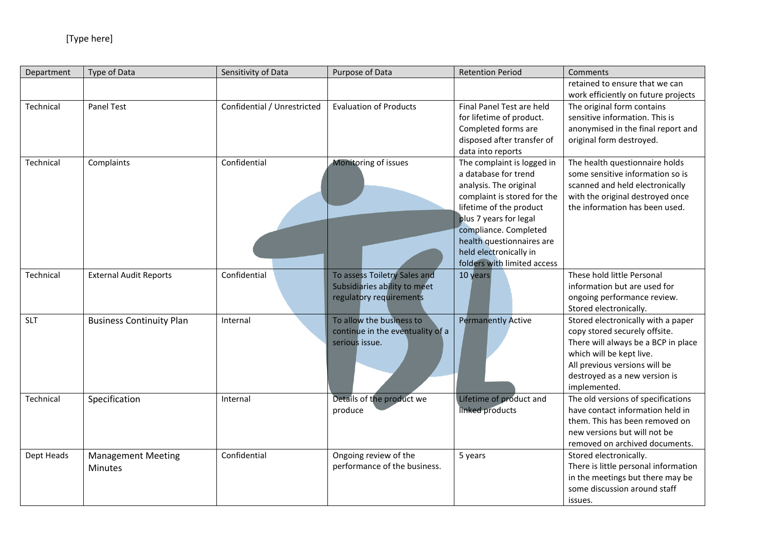| Department | Type of Data                    | Sensitivity of Data         | Purpose of Data                  | <b>Retention Period</b>     | Comments                             |
|------------|---------------------------------|-----------------------------|----------------------------------|-----------------------------|--------------------------------------|
|            |                                 |                             |                                  |                             | retained to ensure that we can       |
|            |                                 |                             |                                  |                             | work efficiently on future projects  |
| Technical  | Panel Test                      | Confidential / Unrestricted | <b>Evaluation of Products</b>    | Final Panel Test are held   | The original form contains           |
|            |                                 |                             |                                  | for lifetime of product.    | sensitive information. This is       |
|            |                                 |                             |                                  | Completed forms are         | anonymised in the final report and   |
|            |                                 |                             |                                  | disposed after transfer of  | original form destroyed.             |
|            |                                 |                             |                                  | data into reports           |                                      |
| Technical  | Complaints                      | Confidential                | Monitoring of issues             | The complaint is logged in  | The health questionnaire holds       |
|            |                                 |                             |                                  | a database for trend        | some sensitive information so is     |
|            |                                 |                             |                                  | analysis. The original      | scanned and held electronically      |
|            |                                 |                             |                                  | complaint is stored for the | with the original destroyed once     |
|            |                                 |                             |                                  | lifetime of the product     | the information has been used.       |
|            |                                 |                             |                                  | plus 7 years for legal      |                                      |
|            |                                 |                             |                                  | compliance. Completed       |                                      |
|            |                                 |                             |                                  | health questionnaires are   |                                      |
|            |                                 |                             |                                  | held electronically in      |                                      |
|            |                                 |                             |                                  | folders with limited access |                                      |
| Technical  | <b>External Audit Reports</b>   | Confidential                | To assess Toiletry Sales and     | 10 years                    | These hold little Personal           |
|            |                                 |                             | Subsidiaries ability to meet     |                             | information but are used for         |
|            |                                 |                             | regulatory requirements          |                             | ongoing performance review.          |
|            |                                 |                             |                                  |                             | Stored electronically.               |
| <b>SLT</b> | <b>Business Continuity Plan</b> | Internal                    | To allow the business to         | <b>Permanently Active</b>   | Stored electronically with a paper   |
|            |                                 |                             | continue in the eventuality of a |                             | copy stored securely offsite.        |
|            |                                 |                             | serious issue.                   |                             | There will always be a BCP in place  |
|            |                                 |                             |                                  |                             | which will be kept live.             |
|            |                                 |                             |                                  |                             | All previous versions will be        |
|            |                                 |                             |                                  |                             | destroyed as a new version is        |
|            |                                 |                             |                                  |                             | implemented.                         |
| Technical  | Specification                   | Internal                    | Details of the product we        | Lifetime of product and     | The old versions of specifications   |
|            |                                 |                             | produce                          | linked products             | have contact information held in     |
|            |                                 |                             |                                  |                             | them. This has been removed on       |
|            |                                 |                             |                                  |                             | new versions but will not be         |
|            |                                 |                             |                                  |                             | removed on archived documents.       |
| Dept Heads | <b>Management Meeting</b>       | Confidential                | Ongoing review of the            | 5 years                     | Stored electronically.               |
|            | Minutes                         |                             | performance of the business.     |                             | There is little personal information |
|            |                                 |                             |                                  |                             | in the meetings but there may be     |
|            |                                 |                             |                                  |                             | some discussion around staff         |
|            |                                 |                             |                                  |                             | issues.                              |